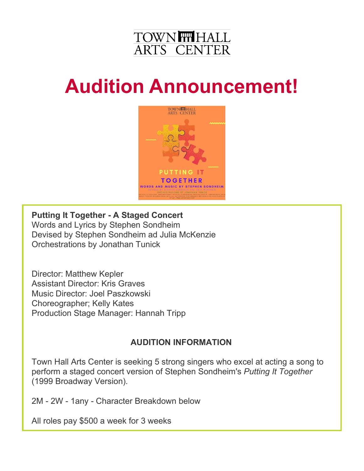

# **Audition Announcement!**



**Putting It Together - A Staged Concert** Words and Lyrics by Stephen Sondheim Devised by Stephen Sondheim ad Julia McKenzie Orchestrations by Jonathan Tunick

Director: Matthew Kepler Assistant Director: Kris Graves Music Director: Joel Paszkowski Choreographer; Kelly Kates Production Stage Manager: Hannah Tripp

## **AUDITION INFORMATION**

Town Hall Arts Center is seeking 5 strong singers who excel at acting a song to perform a staged concert version of Stephen Sondheim's *Putting It Together* (1999 Broadway Version).

2M - 2W - 1any - Character Breakdown below

All roles pay \$500 a week for 3 weeks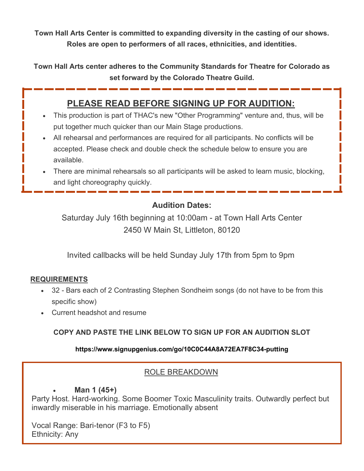**Town Hall Arts Center is committed to expanding diversity in the casting of our shows. Roles are open to performers of all races, ethnicities, and identities.**

**Town Hall Arts center adheres to the Community Standards for Theatre for Colorado as set forward by the Colorado Theatre Guild.**

# **PLEASE READ BEFORE SIGNING UP FOR AUDITION:**

- This production is part of THAC's new "Other Programming" venture and, thus, will be put together much quicker than our Main Stage productions.
- All rehearsal and performances are required for all participants. No conflicts will be accepted. Please check and double check the schedule below to ensure you are available.
- There are minimal rehearsals so all participants will be asked to learn music, blocking, and light choreography quickly.

## **Audition Dates:**

Saturday July 16th beginning at 10:00am - at Town Hall Arts Center 2450 W Main St, Littleton, 80120

Invited callbacks will be held Sunday July 17th from 5pm to 9pm

#### **REQUIREMENTS**

- 32 Bars each of 2 Contrasting Stephen Sondheim songs (do not have to be from this specific show)
- Current headshot and resume

#### **COPY AND PASTE THE LINK BELOW TO SIGN UP FOR AN AUDITION SLOT**

#### **https://www.signupgenius.com/go/10C0C44A8A72EA7F8C34-putting**

#### ROLE BREAKDOWN

#### • **Man 1 (45+)**

Party Host. Hard-working. Some Boomer Toxic Masculinity traits. Outwardly perfect but inwardly miserable in his marriage. Emotionally absent

Vocal Range: Bari-tenor (F3 to F5) Ethnicity: Any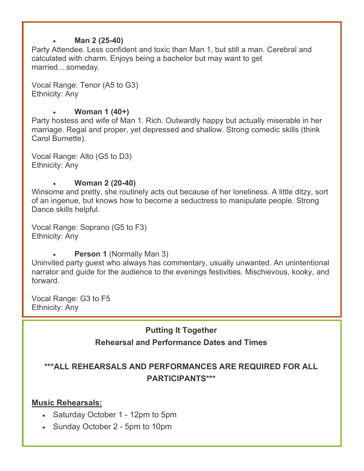#### • **Man 2 (25-40)**

Party Attendee. Less confident and toxic than Man 1, but still a man. Cerebral and calculated with charm. Enjoys being a bachelor but may want to get married....someday.

Vocal Range: Tenor (A5 to G3) Ethnicity: Any

#### • **Woman 1 (40+)**

Party hostess and wife of Man 1. Rich. Outwardly happy but actually miserable in her marriage. Regal and proper, yet depressed and shallow. Strong comedic skills (think Carol Burnette).

Vocal Range: Alto (G5 to D3) Ethnicity: Any

#### • **Woman 2 (20-40)**

Winsome and pretty, she routinely acts out because of her loneliness. A little ditzy, sort of an ingenue, but knows how to become a seductress to manipulate people. Strong Dance skills helpful.

Vocal Range: Soprano (G5 to F3) Ethnicity: Any

**Person 1 (Normally Man 3)** 

Uninvited party guest who always has commentary, usually unwanted. An unintentional narrator and guide for the audience to the evenings festivities. Mischievous, kooky, and forward.

Vocal Range: G3 to F5 Ethnicity: Any

## **Putting It Together**

## **Rehearsal and Performance Dates and Times**

## **\*\*\*ALL REHEARSALS AND PERFORMANCES ARE REQUIRED FOR ALL PARTICIPANTS\*\*\***

#### **Music Rehearsals:**

- Saturday October 1 12pm to 5pm
- Sunday October 2 5pm to 10pm